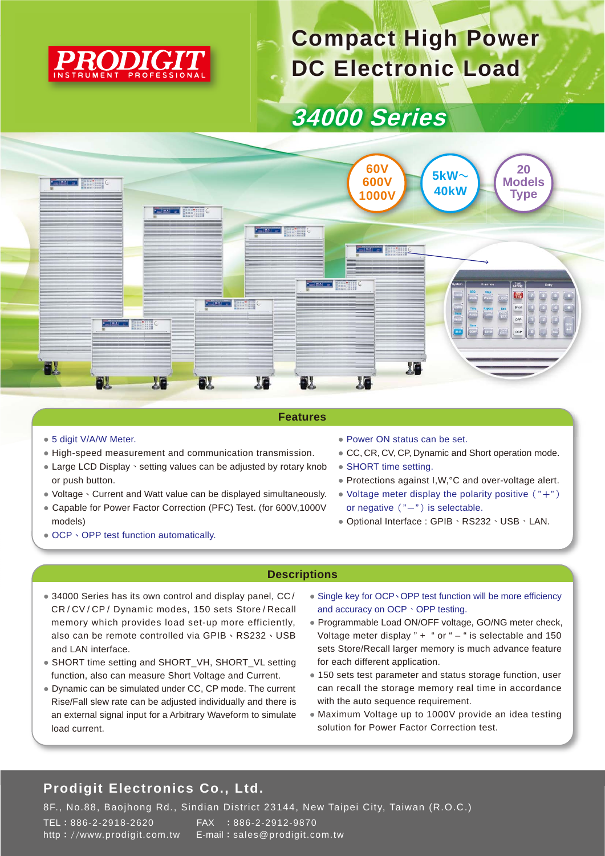

# **Compact High Power DC Electronic Load**

## **34000 Series**



#### **Features**

- 5 digit V/A/W Meter.
- High-speed measurement and communication transmission.
- Large LCD Display · setting values can be adjusted by rotary knob or push button.
- Voltage、Current and Watt value can be displayed simultaneously.
- Capable for Power Factor Correction (PFC) Test. (for 600V,1000V models)
- OCP、OPP test function automatically.
- Power ON status can be set.
- CC, CR, CV, CP, Dynamic and Short operation mode.
- SHORT time setting.
- Protections against I,W,°C and over-voltage alert.
- Voltage meter display the polarity positive  $($  "+") or negative  $("-")$  is selectable.
- Optional Interface : GPIB、RS232、USB、LAN.

#### **Descriptions**

- 34000 Series has its own control and display panel, CC/ CR / CV / CP / Dynamic modes, 150 sets Store / Recall memory which provides load set-up more efficiently, also can be remote controlled via GPIB、RS232、USB and LAN interface.
- SHORT time setting and SHORT\_VH, SHORT\_VL setting function, also can measure Short Voltage and Current.
- Dynamic can be simulated under CC, CP mode. The current Rise/Fall slew rate can be adjusted individually and there is an external signal input for a Arbitrary Waveform to simulate load current.
- Single key for OCP、OPP test function will be more efficiency and accuracy on OCP、OPP testing.
- Programmable Load ON/OFF voltage, GO/NG meter check, Voltage meter display " $+$  " or " $-$  " is selectable and 150 sets Store/Recall larger memory is much advance feature for each different application.
- 150 sets test parameter and status storage function, user can recall the storage memory real time in accordance with the auto sequence requirement.
- Maximum Voltage up to 1000V provide an idea testing solution for Power Factor Correction test.

### **Prodigit Electronics Co., Ltd.**

8F., No.88, Baojhong Rd., Sindian District 23144, New Taipei City, Taiwan (R.O.C.) TEL:886-2-2918-2620 FAX :886-2-2912-9870 http://www.prodigit.com.tw E-mail:sales@prodigit.com.tw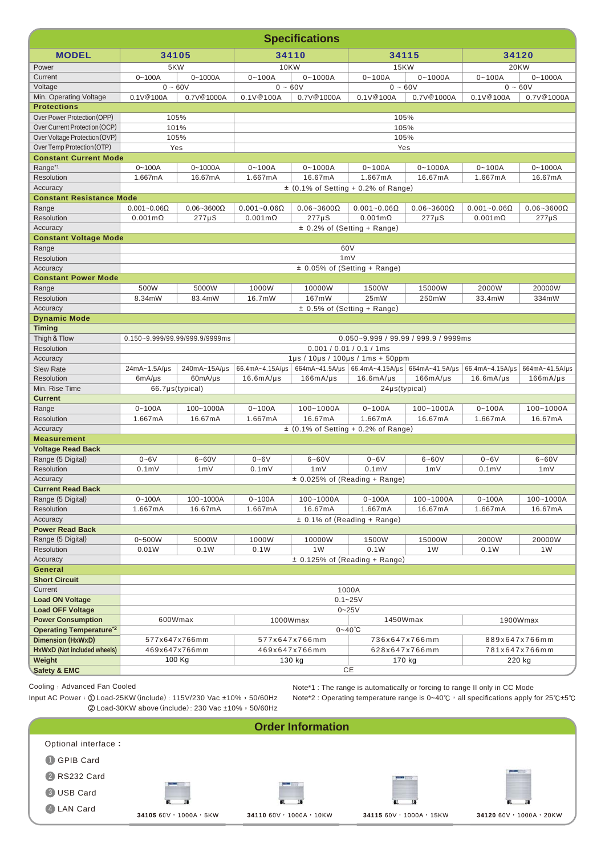|                                          | <b>Specifications</b>                                                                                                |                                |                       |                         |                                                   |                                           |                                |                     |  |  |  |
|------------------------------------------|----------------------------------------------------------------------------------------------------------------------|--------------------------------|-----------------------|-------------------------|---------------------------------------------------|-------------------------------------------|--------------------------------|---------------------|--|--|--|
| <b>MODEL</b>                             | 34105                                                                                                                |                                | 34110                 |                         |                                                   | 34115                                     |                                | 34120               |  |  |  |
| Power                                    | 5KW                                                                                                                  |                                | <b>10KW</b>           |                         | <b>15KW</b>                                       |                                           | <b>20KW</b>                    |                     |  |  |  |
| Current                                  | $0 - 100A$                                                                                                           | $0 - 1000A$                    | $0 - 100A$            | $0 - 1000A$             | $0 - 100A$                                        | $0 - 1000A$                               |                                | $0 - 1000A$         |  |  |  |
| Voltage                                  | $0 - 60V$                                                                                                            |                                | $0 - 60V$             |                         | $0 - 60V$                                         |                                           | $0 - 60V$                      |                     |  |  |  |
| Min. Operating Voltage                   | 0.1V@100A                                                                                                            | 0.7V@1000A                     | 0.1V@100A             | 0.7V@1000A              | 0.1V@100A                                         | 0.7V@1000A                                | 0.1V@100A                      | 0.7V@1000A          |  |  |  |
| <b>Protections</b>                       |                                                                                                                      |                                |                       |                         |                                                   |                                           |                                |                     |  |  |  |
| Over Power Protection (OPP)              | 105%                                                                                                                 |                                |                       |                         | 105%                                              |                                           |                                |                     |  |  |  |
| Over Current Protection (OCP)            |                                                                                                                      | 101%                           |                       | 105%                    |                                                   |                                           |                                |                     |  |  |  |
| Over Voltage Protection (OVP)            |                                                                                                                      | 105%                           |                       |                         | 105%                                              |                                           |                                |                     |  |  |  |
| Over Temp Protection (OTP)               | Yes                                                                                                                  |                                |                       |                         | Yes                                               |                                           |                                |                     |  |  |  |
| <b>Constant Current Mode</b>             |                                                                                                                      |                                |                       |                         |                                                   |                                           |                                |                     |  |  |  |
| Range <sup>*1</sup>                      | $0 - 100A$                                                                                                           | $0 - 1000A$                    | $0 - 100A$            | $0 - 1000A$             | $0 - 100A$                                        | $0 - 1000A$                               | $0 - 100A$                     | $0 - 1000A$         |  |  |  |
| Resolution                               | 1.667mA                                                                                                              | 16.67mA                        | 1.667mA               | 16.67mA                 | 1.667mA                                           | 16.67mA                                   | 1.667mA                        | 16.67mA             |  |  |  |
| Accuracy                                 |                                                                                                                      |                                |                       |                         | $\pm$ (0.1% of Setting + 0.2% of Range)           |                                           |                                |                     |  |  |  |
| <b>Constant Resistance Mode</b>          |                                                                                                                      |                                |                       |                         |                                                   |                                           |                                |                     |  |  |  |
| Range                                    | $0.001 - 0.06 \Omega$                                                                                                | $0.06 - 3600\Omega$            | $0.001 - 0.06 \Omega$ | $0.06 - 3600\Omega$     | $0.001 - 0.06 \Omega$                             | $0.06 - 3600\Omega$                       | $0.001 - 0.06 \Omega$          | $0.06 - 3600\Omega$ |  |  |  |
| Resolution                               | $0.001$ m $\Omega$                                                                                                   | $277\mu S$                     | $0.001$ m $\Omega$    | $277 \mu S$             | $0.001$ m $\Omega$                                | $277 \mu S$                               | $0.001$ m $\Omega$             | 277µS               |  |  |  |
| Accuracy<br><b>Constant Voltage Mode</b> |                                                                                                                      |                                |                       |                         | $\pm$ 0.2% of (Setting + Range)                   |                                           |                                |                     |  |  |  |
| Range                                    |                                                                                                                      |                                |                       |                         | 60V                                               |                                           |                                |                     |  |  |  |
| Resolution                               |                                                                                                                      |                                |                       |                         | 1mV                                               |                                           |                                |                     |  |  |  |
| Accuracy                                 |                                                                                                                      |                                |                       |                         | ± 0.05% of (Setting + Range)                      |                                           |                                |                     |  |  |  |
| <b>Constant Power Mode</b>               |                                                                                                                      |                                |                       |                         |                                                   |                                           |                                |                     |  |  |  |
| Range                                    | 500W                                                                                                                 | 5000W                          | 1000W                 | 10000W                  | 1500W                                             | 15000W                                    | 2000W                          | 20000W              |  |  |  |
| Resolution                               | 8.34mW                                                                                                               | 83.4mW                         | 16.7mW                | 167mW                   | 25mW                                              | 250mW                                     | 33.4mW                         | 334mW               |  |  |  |
| Accuracy                                 |                                                                                                                      |                                |                       |                         | $\pm$ 0.5% of (Setting + Range)                   |                                           |                                |                     |  |  |  |
| <b>Dynamic Mode</b>                      |                                                                                                                      |                                |                       |                         |                                                   |                                           |                                |                     |  |  |  |
| <b>Timing</b>                            |                                                                                                                      |                                |                       |                         |                                                   |                                           |                                |                     |  |  |  |
| Thigh & Tlow                             |                                                                                                                      | 0.150~9.999/99.99/999.9/9999ms |                       |                         |                                                   | $0.050 - 9.999 / 99.99 / 999.9 / 9999$ ms |                                |                     |  |  |  |
| Resolution                               | 0.001 / 0.01 / 0.1 / 1ms                                                                                             |                                |                       |                         |                                                   |                                           |                                |                     |  |  |  |
| Accuracy                                 |                                                                                                                      |                                |                       |                         | 1µs / 10µs / 100µs / 1ms + 50ppm                  |                                           |                                |                     |  |  |  |
| <b>Slew Rate</b>                         | 24mA~1.5A/µs                                                                                                         | 240mA~15A/µs                   | 66.4mA~4.15A/µs       |                         | 664mA~41.5A/µs   66.4mA~4.15A/µs   664mA~41.5A/µs |                                           | 66.4mA~4.15A/ $\mu$ s          | 664mA~41.5A/µs      |  |  |  |
| <b>Resolution</b>                        | 6mA/µs                                                                                                               | 60mA/µs                        | 16.6mA/µs             | 166mA/µs                | 16.6mA/µs                                         | 166mA/µs                                  | 16.6mA/µs                      | 166mA/µs            |  |  |  |
| Min. Rise Time                           | 66.7µs(typical)<br>24µs(typical)                                                                                     |                                |                       |                         |                                                   |                                           |                                |                     |  |  |  |
| <b>Current</b>                           |                                                                                                                      |                                |                       |                         |                                                   |                                           |                                |                     |  |  |  |
| Range                                    | $0 - 100A$                                                                                                           | 100~1000A                      | $0 - 100A$            | $100 - 1000A$           | $0 - 100A$                                        | $100 - 1000A$                             | $0 - 100A$                     | $100 - 1000A$       |  |  |  |
| Resolution                               | 1.667mA<br>16.67mA<br>1.667mA<br>1.667mA<br>16.67mA<br>16.67mA<br>1.667mA<br>$\pm$ (0.1% of Setting + 0.2% of Range) |                                |                       |                         |                                                   | 16.67mA                                   |                                |                     |  |  |  |
| Accuracy<br><b>Measurement</b>           |                                                                                                                      |                                |                       |                         |                                                   |                                           |                                |                     |  |  |  |
| <b>Voltage Read Back</b>                 |                                                                                                                      |                                |                       |                         |                                                   |                                           |                                |                     |  |  |  |
| Range (5 Digital)                        | $0 - 6V$                                                                                                             | $6 - 60V$                      | $0 - 6V$              | $6 - 60V$               | $0 - 6V$                                          | $6 - 60V$                                 | $0 - 6V$                       | $6 - 60V$           |  |  |  |
| Resolution                               | 0.1 <sub>m</sub>                                                                                                     | 1mV                            | 0.1 <sub>m</sub>      | 1mV                     | 0.1 <sub>m</sub>                                  | 1mV                                       | $0.1m$ V                       | 1mV                 |  |  |  |
| Accuracv                                 |                                                                                                                      |                                |                       |                         | $±$ 0.025% of (Reading + Range)                   |                                           |                                |                     |  |  |  |
| <b>Current Read Back</b>                 |                                                                                                                      |                                |                       |                         |                                                   |                                           |                                |                     |  |  |  |
| Range (5 Digital)                        | $0 - 100A$                                                                                                           | 100~1000A                      | $0 - 100A$            | 100~1000A               | $0 - 100A$                                        | 100~1000A                                 | $0 - 100A$                     | 100~1000A           |  |  |  |
| Resolution                               | 1.667mA                                                                                                              | 16.67mA                        | 1.667mA               | 16.67mA                 | 1.667mA                                           | 16.67mA                                   | 1.667mA                        | 16.67mA             |  |  |  |
| Accuracy                                 |                                                                                                                      |                                |                       |                         | $\pm$ 0.1% of (Reading + Range)                   |                                           |                                |                     |  |  |  |
| <b>Power Read Back</b>                   |                                                                                                                      |                                |                       |                         |                                                   |                                           |                                |                     |  |  |  |
| Range (5 Digital)                        | 0~500W                                                                                                               | 5000W                          | 1000W                 | 10000W                  | 1500W                                             | 15000W                                    | 2000W                          | 20000W              |  |  |  |
| Resolution                               | 0.01W                                                                                                                | 0.1W                           | 0.1W                  | 1 <sub>W</sub>          | 0.1W                                              | 1W                                        | 0.1W                           | 1W                  |  |  |  |
| Accuracy                                 |                                                                                                                      |                                |                       |                         | ± 0.125% of (Reading + Range)                     |                                           |                                |                     |  |  |  |
| General                                  |                                                                                                                      |                                |                       |                         |                                                   |                                           |                                |                     |  |  |  |
| <b>Short Circuit</b>                     |                                                                                                                      |                                |                       |                         |                                                   |                                           |                                |                     |  |  |  |
| Current                                  |                                                                                                                      |                                |                       |                         | 1000A                                             |                                           |                                |                     |  |  |  |
| <b>Load ON Voltage</b>                   |                                                                                                                      | $0.1 - 25V$                    |                       |                         |                                                   |                                           |                                |                     |  |  |  |
| <b>Load OFF Voltage</b>                  |                                                                                                                      |                                |                       |                         | $0 - 25V$                                         |                                           |                                |                     |  |  |  |
| <b>Power Consumption</b>                 | 600Wmax                                                                                                              |                                | 1000Wmax              |                         | 1450Wmax                                          |                                           |                                | 1900Wmax            |  |  |  |
| <b>Operating Temperature*2</b>           |                                                                                                                      |                                |                       |                         | $0 - 40^{\circ}C$                                 |                                           |                                |                     |  |  |  |
| <b>Dimension (HxWxD)</b>                 |                                                                                                                      | 577x647x766mm                  |                       | 577x647x766mm           | 736x647x766mm<br>628x647x766mm                    |                                           | 889x647x766mm<br>781x647x766mm |                     |  |  |  |
| HxWxD (Not included wheels)<br>Weight    |                                                                                                                      | 469x647x766mm<br>100 Kg        |                       | 469x647x766mm<br>130 kg |                                                   | 170 kg                                    | 220 kg                         |                     |  |  |  |
| <b>Safety &amp; EMC</b>                  |                                                                                                                      |                                |                       |                         | CE                                                |                                           |                                |                     |  |  |  |
|                                          |                                                                                                                      |                                |                       |                         |                                                   |                                           |                                |                     |  |  |  |

Input AC Power: ① Load-25KW (include): 115V/230 Vac ±10%, 50/60Hz 2 Load-30KW above (include): 230 Vac ±10%, 50/60Hz Note\*1 : The range is automatically or forcing to range II only in CC Mode

Note\*2 : Operating temperature range is 0~40℃, all specifications apply for 25℃±5℃

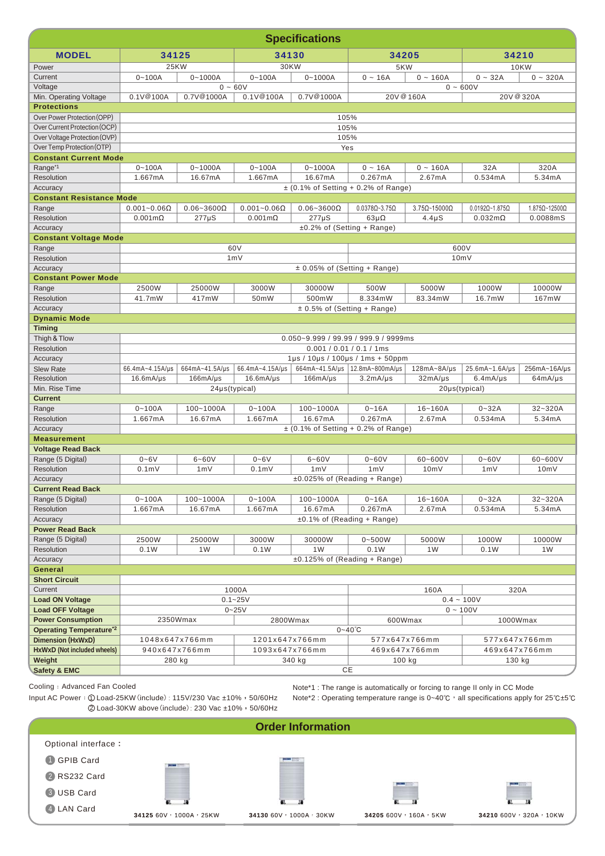|                                             | <b>Specifications</b>                                           |                     |                              |                                  |                                              |                            |                                |                             |
|---------------------------------------------|-----------------------------------------------------------------|---------------------|------------------------------|----------------------------------|----------------------------------------------|----------------------------|--------------------------------|-----------------------------|
| <b>MODEL</b>                                | 34125                                                           |                     | 34130                        |                                  | 34205                                        |                            | 34210                          |                             |
| Power                                       | <b>25KW</b>                                                     |                     | 30KW                         |                                  | 5KW                                          |                            | <b>10KW</b>                    |                             |
| Current                                     | $0 - 100A$                                                      | $0 - 1000A$         | $0 - 100A$                   | $0 - 1000A$                      | $0 - 16A$                                    | $0 - 160A$                 | $0 - 32A$<br>$0 - 320A$        |                             |
| Voltage                                     |                                                                 | $0 - 60V$           |                              |                                  |                                              |                            | $0 - 600V$                     |                             |
| Min. Operating Voltage                      | 0.1V@100A                                                       | 0.7V@1000A          | 0.1V@100A                    | 0.7V@1000A                       | 20V @ 160A                                   |                            | 20V @ 320A                     |                             |
| <b>Protections</b>                          |                                                                 |                     |                              |                                  |                                              |                            |                                |                             |
| Over Power Protection (OPP)                 |                                                                 |                     |                              |                                  | 105%                                         |                            |                                |                             |
| Over Current Protection (OCP)               |                                                                 |                     |                              |                                  | 105%                                         |                            |                                |                             |
| Over Voltage Protection (OVP)               |                                                                 |                     |                              |                                  | 105%                                         |                            |                                |                             |
| Over Temp Protection (OTP)                  |                                                                 |                     |                              | Yes                              |                                              |                            |                                |                             |
| <b>Constant Current Mode</b>                |                                                                 |                     |                              |                                  |                                              |                            |                                |                             |
| Range <sup>*1</sup>                         | $0 - 100A$                                                      | $0 - 1000A$         | $0 - 100A$                   | $0 - 1000A$                      | $0 - 16A$                                    | $0 - 160A$                 | 32A                            | 320A                        |
| Resolution                                  | 1.667mA                                                         | 16.67mA             | 1.667mA                      | 16.67mA                          | 0.267mA                                      | 2.67mA                     | 0.534mA                        | 5.34mA                      |
| Accuracy<br><b>Constant Resistance Mode</b> |                                                                 |                     |                              |                                  | $\pm$ (0.1% of Setting + 0.2% of Range)      |                            |                                |                             |
| Range                                       | $0.001 - 0.06 \Omega$                                           | $0.06 - 3600\Omega$ | $0.001 - 0.06 \Omega$        | $0.06 - 3600\Omega$              | $0.0378\Omega - 3.75\Omega$                  | $3.75\Omega - 15000\Omega$ | $0.0192\Omega - 1.875\Omega$   | $1.875\Omega - 12500\Omega$ |
| Resolution                                  | $0.001 \text{m}\Omega$                                          | $277\mu S$          | $0.001 \text{m}\Omega$       | $277\mu S$                       | $63\mu\Omega$                                | $4.4 \mu S$                | $0.032 \text{m}\Omega$         | 0.0088mS                    |
| Accuracy                                    |                                                                 |                     |                              |                                  | ±0.2% of (Setting + Range)                   |                            |                                |                             |
| <b>Constant Voltage Mode</b>                |                                                                 |                     |                              |                                  |                                              |                            |                                |                             |
| Range                                       |                                                                 |                     | 60V                          |                                  |                                              |                            | 600V                           |                             |
| <b>Resolution</b>                           |                                                                 |                     | 1mV                          |                                  |                                              |                            | 10mV                           |                             |
| Accuracy                                    |                                                                 |                     |                              | $\pm$ 0.05% of (Setting + Range) |                                              |                            |                                |                             |
| <b>Constant Power Mode</b>                  |                                                                 |                     |                              |                                  |                                              |                            |                                |                             |
| Range                                       | 2500W                                                           | 25000W              | 3000W                        | 30000W                           | 500W                                         | 5000W                      | 1000W                          | 10000W                      |
| Resolution                                  | 41.7mW                                                          | 417mW               | 50mW                         | 500mW                            | 8.334mW                                      | 83.34mW                    | 16.7mW                         | 167mW                       |
| Accuracy                                    |                                                                 |                     |                              | $\pm$ 0.5% of (Setting + Range)  |                                              |                            |                                |                             |
| <b>Dynamic Mode</b>                         |                                                                 |                     |                              |                                  |                                              |                            |                                |                             |
| <b>Timing</b>                               |                                                                 |                     |                              |                                  |                                              |                            |                                |                             |
| Thigh & Tlow<br>Resolution                  | $0.050 - 9.999 / 99.99 / 999.9 / 9999$ ms                       |                     |                              |                                  |                                              |                            |                                |                             |
| Accuracy                                    | $0.001 / 0.01 / 0.1 / 1$ ms<br>1µs / 10µs / 100µs / 1ms + 50ppm |                     |                              |                                  |                                              |                            |                                |                             |
| <b>Slew Rate</b>                            | 66.4mA~4.15A/µs                                                 | 664mA~41.5A/µs      | 66.4mA~4.15A/µs              |                                  | 664mA~41.5A/ $\mu$ s   12.8mA~800mA/ $\mu$ s | $128mA - 8A/µs$            | 25.6mA~1.6A/µs                 | 256mA~16A/µs                |
| <b>Resolution</b>                           | 16.6mA/µs                                                       | 166mA/µs            | 16.6mA/µs                    | 166mA/µs                         | 3.2mA/µs                                     | $32mA/\mu s$               | 6.4mA/µs                       | 64mA/µs                     |
| Min. Rise Time                              | 24µs(typical)<br>20µs(typical)                                  |                     |                              |                                  |                                              |                            |                                |                             |
| <b>Current</b>                              |                                                                 |                     |                              |                                  |                                              |                            |                                |                             |
| Range                                       | $0 - 100A$                                                      | 100~1000A           | $0 - 100A$                   | 100~1000A                        | $0 - 16A$                                    | $16 - 160A$                | $0 - 32A$                      | $32 - 320A$                 |
| Resolution                                  | 1.667mA                                                         | 16.67mA             | 1.667mA                      | 16.67mA                          | 0.267mA                                      | 2.67mA                     | 0.534mA                        | 5.34mA                      |
| Accuracy                                    |                                                                 |                     |                              |                                  | $\pm$ (0.1% of Setting + 0.2% of Range)      |                            |                                |                             |
| <b>Measurement</b>                          |                                                                 |                     |                              |                                  |                                              |                            |                                |                             |
| <b>Voltage Read Back</b>                    | $0 - 6V$                                                        | $6 - 60V$           |                              | $6 - 60V$                        | $0 - 60V$                                    | $60 - 600V$                | $0 - 60V$                      | 60~600V                     |
| Range (5 Digital)<br>Resolution             | 0.1 <sub>m</sub>                                                | 1mV                 | $0 - 6V$<br>0.1 <sub>m</sub> | 1mV                              | 1mV                                          | 10mV                       | 1mV                            | 10mV                        |
| Accuracy                                    |                                                                 |                     |                              |                                  | $±0.025\%$ of (Reading + Range)              |                            |                                |                             |
| <b>Current Read Back</b>                    |                                                                 |                     |                              |                                  |                                              |                            |                                |                             |
| Range (5 Digital)                           | $0 - 100A$                                                      | 100~1000A           | $0 - 100A$                   | 100~1000A                        | $0 - 16A$                                    | 16~160A                    | $0 - 32A$                      | 32~320A                     |
| Resolution                                  | 1.667mA                                                         | 16.67mA             | 1.667mA                      | 16.67mA                          | 0.267mA                                      | 2.67mA                     | 0.534mA                        | 5.34mA                      |
| Accuracy                                    |                                                                 |                     |                              |                                  | $±0.1\%$ of (Reading + Range)                |                            |                                |                             |
| <b>Power Read Back</b>                      |                                                                 |                     |                              |                                  |                                              |                            |                                |                             |
| Range (5 Digital)                           | 2500W                                                           | 25000W              | 3000W                        | 30000W                           | $0 - 500W$                                   | 5000W                      | 1000W                          | 10000W                      |
| Resolution                                  | 0.1W                                                            | 1W                  | 0.1W                         | 1W                               | 0.1W                                         | 1W                         | 0.1W                           | 1W                          |
| Accuracy                                    |                                                                 |                     |                              |                                  | $\pm 0.125\%$ of (Reading + Range)           |                            |                                |                             |
| General                                     |                                                                 |                     |                              |                                  |                                              |                            |                                |                             |
| <b>Short Circuit</b>                        |                                                                 |                     |                              |                                  |                                              |                            |                                |                             |
| Current<br><b>Load ON Voltage</b>           |                                                                 |                     | 1000A                        |                                  |                                              | 160A                       | 320A                           |                             |
| <b>Load OFF Voltage</b>                     |                                                                 |                     | $0.1 - 25V$<br>$0 - 25V$     |                                  |                                              |                            | $0.4 - 100V$<br>$0 - 100V$     |                             |
| <b>Power Consumption</b>                    |                                                                 | 2350Wmax            | 2800Wmax                     |                                  | 600Wmax                                      |                            | 1000Wmax                       |                             |
| <b>Operating Temperature*2</b>              |                                                                 |                     |                              |                                  | $0 - 40^{\circ}C$                            |                            |                                |                             |
| <b>Dimension (HxWxD)</b>                    |                                                                 | 1048x647x766mm      | 1201x647x766mm               |                                  | 577x647x766mm                                |                            | 577x647x766mm                  |                             |
| HxWxD (Not included wheels)                 | 940x647x766mm                                                   |                     |                              | 1093x647x766mm                   |                                              |                            | 469x647x766mm<br>469x647x766mm |                             |
| Weight                                      | 280 kg                                                          |                     |                              | 340 kg                           | 100 kg                                       |                            | 130 kg                         |                             |
| <b>Safety &amp; EMC</b>                     |                                                                 |                     |                              |                                  | CE                                           |                            |                                |                             |

Input AC Power: ① Load-25KW (include): 115V/230 Vac ±10%, 50/60Hz

Note\*1 : The range is automatically or forcing to range II only in CC Mode Note\*2 : Operating temperature range is 0~40℃, all specifications apply for 25℃±5℃

**1** GPIB Card 2 RS232 Card 3 USB Card <sup>4</sup> **<sup>34125</sup>**60V,1000A,25KW **<sup>34130</sup>**60V,1000A,30KW **<sup>34205</sup>**600V,160A,5KW **<sup>34210</sup>**600V,320A,10KW 2 Load-30KW above (include): 230 Vac ±10%, 50/60Hz Optional interface: 4 LAN Card **Order Information**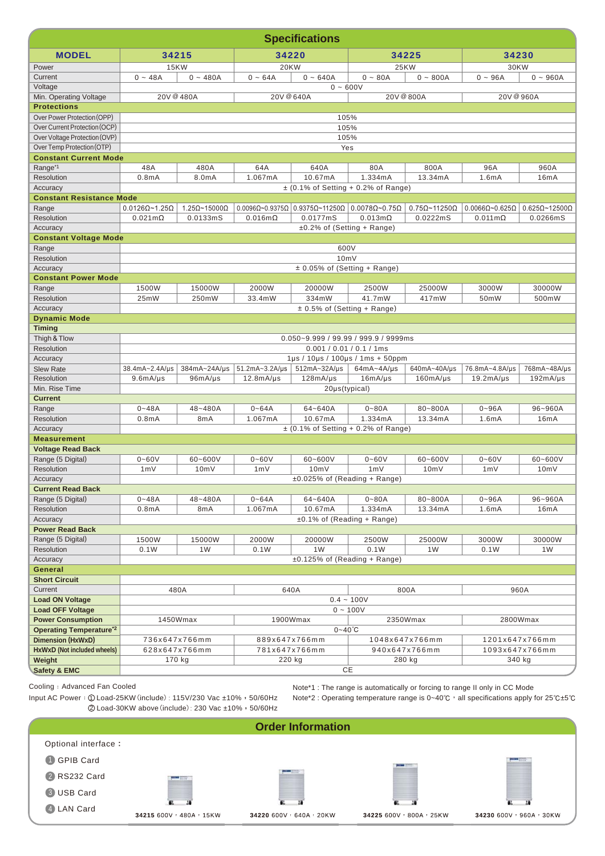|                                                            | <b>Specifications</b>                |                              |                    |                                          |                                                                                                    |                              |                                |                               |
|------------------------------------------------------------|--------------------------------------|------------------------------|--------------------|------------------------------------------|----------------------------------------------------------------------------------------------------|------------------------------|--------------------------------|-------------------------------|
| <b>MODEL</b>                                               | 34215                                |                              | 34220              |                                          | 34225                                                                                              |                              | 34230                          |                               |
| Power                                                      | <b>15KW</b>                          |                              | <b>20KW</b>        |                                          | <b>25KW</b>                                                                                        |                              | 30KW                           |                               |
| Current                                                    | $0 - 48A$                            | $0 - 480A$                   | $0 - 64A$          | $0 - 640A$                               | $0 - 80A$<br>$0 - 800A$                                                                            |                              | $0 - 96A$<br>$0 - 960A$        |                               |
| Voltage                                                    | $0 - 600V$                           |                              |                    |                                          |                                                                                                    |                              |                                |                               |
| Min. Operating Voltage                                     | 20V @ 480A<br>20V @ 640A             |                              |                    |                                          |                                                                                                    | 20V @ 800A                   | 20V @ 960A                     |                               |
| <b>Protections</b>                                         |                                      |                              |                    |                                          |                                                                                                    |                              |                                |                               |
| Over Power Protection (OPP)                                |                                      |                              |                    | 105%                                     |                                                                                                    |                              |                                |                               |
| Over Current Protection (OCP)                              |                                      |                              |                    | 105%                                     |                                                                                                    |                              |                                |                               |
| Over Voltage Protection (OVP)                              |                                      |                              |                    | 105%                                     |                                                                                                    |                              |                                |                               |
| Over Temp Protection (OTP)<br><b>Constant Current Mode</b> |                                      |                              |                    | Yes                                      |                                                                                                    |                              |                                |                               |
| Range <sup>*1</sup>                                        | 48A                                  | 480A                         | 64A                | 640A                                     | 80A                                                                                                | 800A                         | 96A                            | 960A                          |
| Resolution                                                 | 0.8 <sub>m</sub> A                   | 8.0mA                        | 1.067mA            | 10.67mA                                  | 1.334mA                                                                                            | 13.34mA                      | 1.6mA                          | 16mA                          |
| Accuracy                                                   |                                      |                              |                    |                                          | $\pm$ (0.1% of Setting + 0.2% of Range)                                                            |                              |                                |                               |
| <b>Constant Resistance Mode</b>                            |                                      |                              |                    |                                          |                                                                                                    |                              |                                |                               |
| Range                                                      | $0.0126\Omega$ ~1.25 $\Omega$        | $1.25\Omega$ ~15000 $\Omega$ |                    |                                          | $0.0096\Omega$ ~0.9375 $\Omega$   0.9375 $\Omega$ ~11250 $\Omega$   0.0078 $\Omega$ ~0.75 $\Omega$ | $0.75\Omega$ ~11250 $\Omega$ | $0.0066\Omega$ ~0.625 $\Omega$ | $0.625\Omega$ ~12500 $\Omega$ |
| Resolution                                                 | $0.021 \text{m}\Omega$               | 0.0133mS                     | $0.016m\Omega$     | 0.0177mS                                 | $0.013m\Omega$                                                                                     | 0.0222mS                     | $0.011 \text{m}\Omega$         | 0.0266mS                      |
| Accuracy                                                   |                                      |                              |                    | $±0.2\%$ of (Setting + Range)            |                                                                                                    |                              |                                |                               |
| <b>Constant Voltage Mode</b>                               |                                      |                              |                    |                                          |                                                                                                    |                              |                                |                               |
| Range                                                      |                                      |                              |                    | 600V                                     |                                                                                                    |                              |                                |                               |
| <b>Resolution</b>                                          |                                      |                              |                    | 10mV<br>$\pm$ 0.05% of (Setting + Range) |                                                                                                    |                              |                                |                               |
| Accuracy<br><b>Constant Power Mode</b>                     |                                      |                              |                    |                                          |                                                                                                    |                              |                                |                               |
| Range                                                      | 1500W                                | 15000W                       | 2000W              | 20000W                                   | 2500W                                                                                              | 25000W                       | 3000W                          | 30000W                        |
| Resolution                                                 | 25mW                                 | 250mW                        | 33.4mW             | 334mW                                    | 41.7mW                                                                                             | 417mW                        | 50mW                           | 500mW                         |
| Accuracy                                                   |                                      |                              |                    | $\pm$ 0.5% of (Setting + Range)          |                                                                                                    |                              |                                |                               |
| <b>Dynamic Mode</b>                                        |                                      |                              |                    |                                          |                                                                                                    |                              |                                |                               |
| <b>Timing</b>                                              |                                      |                              |                    |                                          |                                                                                                    |                              |                                |                               |
| Thigh & Tlow                                               | 0.050~9.999 / 99.99 / 999.9 / 9999ms |                              |                    |                                          |                                                                                                    |                              |                                |                               |
| Resolution                                                 | $0.001 / 0.01 / 0.1 / 1$ ms          |                              |                    |                                          |                                                                                                    |                              |                                |                               |
| Accuracy                                                   |                                      |                              |                    |                                          | 1µs / 10µs / 100µs / 1ms + 50ppm                                                                   |                              |                                |                               |
| <b>Slew Rate</b>                                           | 38.4mA~2.4A/µs                       | 384mA~24A/µs                 | $51.2mA - 3.2A/µs$ | 512mA~32A/µs                             | $64mA - 4A/ys$                                                                                     | 640mA~40A/µs                 | 76.8mA~4.8A/µs                 | 768mA~48A/µs                  |
| <b>Resolution</b><br>Min. Rise Time                        | 9.6mA/µs                             | 96mA/µs                      | $12.8mA/\mu s$     | 128mA/µs<br>20µs(typical)                | 16mA/µs                                                                                            | 160mA/µs                     | 19.2mA/µs                      | 192mA/µs                      |
| <b>Current</b>                                             |                                      |                              |                    |                                          |                                                                                                    |                              |                                |                               |
| Range                                                      | $0 - 48A$                            | 48~480A                      | $0 - 64A$          | 64~640A                                  | $0 - 80A$                                                                                          | 80~800A                      | $0 - 96A$                      | 96~960A                       |
| Resolution                                                 | 0.8 <sub>m</sub> A                   | 8mA                          | 1.067mA            | 10.67mA                                  | 1.334mA                                                                                            | 13.34mA                      | 1.6mA                          | 16mA                          |
| Accuracy                                                   |                                      |                              |                    |                                          | $\pm$ (0.1% of Setting + 0.2% of Range)                                                            |                              |                                |                               |
| <b>Measurement</b>                                         |                                      |                              |                    |                                          |                                                                                                    |                              |                                |                               |
| <b>Voltage Read Back</b>                                   |                                      |                              |                    |                                          |                                                                                                    |                              |                                |                               |
| Range (5 Digital)                                          | $0 - 60V$                            | 60~600V                      | $0 - 60V$          | 60~600V                                  | $0 - 60V$                                                                                          | 60~600V                      | $0 - 60V$                      | 60~600V                       |
| <b>Resolution</b>                                          | 1mV                                  | 10mV                         | 1mV                | 10mV                                     | 1mV                                                                                                | 10mV                         | 1mV                            | 10mV                          |
| Accuracy                                                   |                                      |                              |                    | ±0.025% of (Reading + Range)             |                                                                                                    |                              |                                |                               |
| <b>Current Read Back</b><br>Range (5 Digital)              | $0 - 48A$                            | 48~480A                      | $0 - 64A$          | 64~640A                                  | $0 - 80A$                                                                                          | 80~800A                      |                                | 96~960A                       |
| Resolution                                                 | 0.8 <sub>m</sub> A                   | 8mA                          | 1.067mA            | 10.67mA                                  | 1.334mA                                                                                            | 13.34mA                      | $0 - 96A$<br>1.6mA             | 16mA                          |
| Accuracy                                                   |                                      |                              |                    | $\pm 0.1\%$ of (Reading + Range)         |                                                                                                    |                              |                                |                               |
| <b>Power Read Back</b>                                     |                                      |                              |                    |                                          |                                                                                                    |                              |                                |                               |
| Range (5 Digital)                                          | 1500W                                | 15000W                       | 2000W              | 20000W                                   | 2500W                                                                                              | 25000W                       | 3000W                          | 30000W                        |
| Resolution                                                 | 0.1W                                 | 1W                           | 0.1W               | 1W                                       | 0.1W                                                                                               | 1W                           | 0.1W                           | 1W                            |
| Accuracy                                                   |                                      |                              |                    | $±0.125\%$ of (Reading + Range)          |                                                                                                    |                              |                                |                               |
| General                                                    |                                      |                              |                    |                                          |                                                                                                    |                              |                                |                               |
| <b>Short Circuit</b>                                       |                                      |                              |                    |                                          |                                                                                                    |                              |                                |                               |
| Current                                                    |                                      | 480A                         |                    | 640A                                     |                                                                                                    | 800A                         |                                | 960A                          |
| <b>Load ON Voltage</b>                                     |                                      |                              |                    |                                          | $0.4 - 100V$                                                                                       |                              |                                |                               |
| <b>Load OFF Voltage</b>                                    |                                      |                              |                    |                                          | $0 - 100V$                                                                                         |                              |                                |                               |
| <b>Power Consumption</b>                                   |                                      | 1450Wmax                     |                    | 1900Wmax<br>$0 - 40^{\circ}C$            |                                                                                                    | 2350Wmax                     |                                | 2800Wmax                      |
| <b>Operating Temperature*2</b><br><b>Dimension (HxWxD)</b> |                                      | 736x647x766mm                |                    | 889x647x766mm                            |                                                                                                    |                              |                                |                               |
| HxWxD (Not included wheels)                                |                                      | 628x647x766mm                |                    | 781x647x766mm                            | 1048x647x766mm<br>940x647x766mm                                                                    |                              | 1201x647x766mm                 |                               |
| Weight                                                     |                                      | 170 kg                       | 220 kg             |                                          | 280 kg                                                                                             |                              | 1093x647x766mm<br>340 kg       |                               |
| <b>Safety &amp; EMC</b>                                    |                                      |                              |                    |                                          | $CE$                                                                                               |                              |                                |                               |

Input AC Power: ① Load-25KW (include): 115V/230 Vac ±10%, 50/60Hz

Note\*1 : The range is automatically or forcing to range II only in CC Mode

**<sup>1</sup>** GPIB Card 2 RS232 Card 3 USB Card <sup>4</sup> **<sup>34215</sup>**600V,480A,15KW **<sup>34220</sup>**600V,640A,20KW **<sup>34225</sup>**600V,800A,25KW **<sup>34230</sup>**600V,960A,30KW 2 Load-30KW above (include): 230 Vac ±10%, 50/60Hz Note\*2 : Operating temperature range is 0~40℃, all specifications apply for 25℃±5℃ Optional interface: 4 LAN Card **Order Information**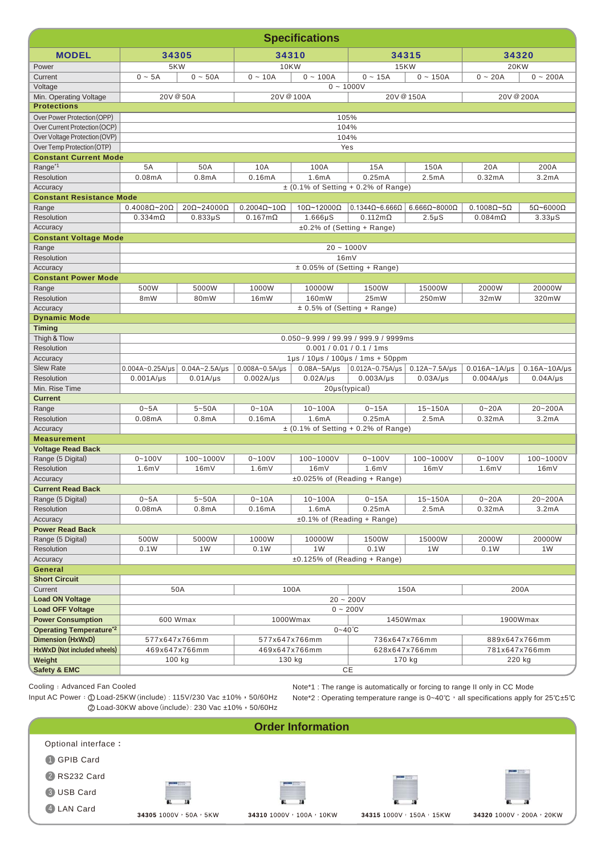|                                                     | <b>Specifications</b>                   |                      |                             |                            |                                                   |                            |                             |                          |  |
|-----------------------------------------------------|-----------------------------------------|----------------------|-----------------------------|----------------------------|---------------------------------------------------|----------------------------|-----------------------------|--------------------------|--|
| <b>MODEL</b>                                        | 34305                                   |                      | 34310                       |                            | 34315                                             |                            | 34320                       |                          |  |
| Power                                               | 5KW                                     |                      | <b>10KW</b>                 |                            | <b>15KW</b>                                       |                            | <b>20KW</b>                 |                          |  |
| Current                                             | $0 - 5A$                                | $0 - 50A$            | $0 - 10A$                   | $0 - 100A$                 | $0 - 15A$                                         | $0 - 150A$                 | $0 - 20A$                   | $0 - 200A$               |  |
| Voltage                                             |                                         |                      |                             |                            | $0 - 1000V$                                       |                            |                             |                          |  |
| Min. Operating Voltage                              | 20V @ 50A                               |                      | 20V @ 100A                  |                            |                                                   | 20V @ 150A                 | 20V @ 200A                  |                          |  |
| <b>Protections</b>                                  |                                         |                      |                             |                            |                                                   |                            |                             |                          |  |
| Over Power Protection (OPP)                         |                                         |                      |                             |                            | 105%                                              |                            |                             |                          |  |
| Over Current Protection (OCP)                       |                                         |                      |                             |                            | 104%                                              |                            |                             |                          |  |
| Over Voltage Protection (OVP)                       |                                         |                      |                             |                            | 104%                                              |                            |                             |                          |  |
| Over Temp Protection (OTP)                          |                                         |                      |                             |                            | Yes                                               |                            |                             |                          |  |
| <b>Constant Current Mode</b><br>Range <sup>*1</sup> | 5A                                      | 50A                  | 10A                         | 100A                       | 15A                                               | 150A                       | 20A                         | 200A                     |  |
| Resolution                                          | 0.08mA                                  | 0.8 <sub>m</sub> A   | 0.16mA                      | 1.6mA                      | 0.25mA                                            | 2.5mA                      | 0.32mA                      | 3.2mA                    |  |
| Accuracy                                            |                                         |                      |                             |                            | $\pm$ (0.1% of Setting + 0.2% of Range)           |                            |                             |                          |  |
| <b>Constant Resistance Mode</b>                     |                                         |                      |                             |                            |                                                   |                            |                             |                          |  |
| Range                                               | $0.4008\Omega$ ~20 $\Omega$             | 20Ω~24000Ω           | $0.2004\Omega$ ~10 $\Omega$ | $10\Omega$ ~12000 $\Omega$ | $0.1344\Omega$ ~6.666 $\Omega$                    | $6.666\Omega - 8000\Omega$ | $0.1008\Omega \sim 5\Omega$ | $5\Omega$ ~6000 $\Omega$ |  |
| Resolution                                          | $0.334$ m $\Omega$                      | $0.833\mu S$         | $0.167m\Omega$              | $1.666\,\mu S$             | $0.112 \text{m}\Omega$                            | $2.5\mu S$                 | $0.084m\Omega$              | $3.33\mu S$              |  |
| Accuracy                                            |                                         |                      |                             |                            | ±0.2% of (Setting + Range)                        |                            |                             |                          |  |
| <b>Constant Voltage Mode</b>                        |                                         |                      |                             |                            |                                                   |                            |                             |                          |  |
| Range                                               |                                         |                      |                             |                            | $20 - 1000V$                                      |                            |                             |                          |  |
| Resolution                                          |                                         |                      |                             |                            | 16mV                                              |                            |                             |                          |  |
| Accuracy                                            |                                         |                      |                             |                            | $\pm$ 0.05% of (Setting + Range)                  |                            |                             |                          |  |
| <b>Constant Power Mode</b>                          |                                         |                      |                             |                            |                                                   |                            |                             |                          |  |
| Range<br>Resolution                                 | 500W<br>8 <sub>m</sub> W                | 5000W<br>80mW        | 1000W<br>16mW               | 10000W<br>160mW            | 1500W<br>25mW                                     | 15000W<br>250mW            | 2000W<br>32mW               | 20000W<br>320mW          |  |
| Accuracy                                            |                                         |                      |                             |                            |                                                   |                            |                             |                          |  |
| <b>Dynamic Mode</b>                                 | $\pm$ 0.5% of (Setting + Range)         |                      |                             |                            |                                                   |                            |                             |                          |  |
| <b>Timing</b>                                       |                                         |                      |                             |                            |                                                   |                            |                             |                          |  |
| Thigh & Tlow                                        | 0.050~9.999 / 99.99 / 999.9 / 9999ms    |                      |                             |                            |                                                   |                            |                             |                          |  |
| Resolution                                          | $0.001 / 0.01 / 0.1 / 1$ ms             |                      |                             |                            |                                                   |                            |                             |                          |  |
| Accuracy                                            |                                         |                      |                             |                            | $1\mu s$ / $10\mu s$ / $100\mu s$ / $1ms + 50ppm$ |                            |                             |                          |  |
| <b>Slew Rate</b>                                    | $0.004A - 0.25A/\mu s$                  | $0.04A - 2.5A/\mu s$ | $0.008A - 0.5A/\mu s$       | $0.08A - 5A/\mu s$         | $0.012A - 0.75A/\mu s$ 0.12A~7.5A/ $\mu s$        |                            | $0.016A - 1A/\mu s$         | $0.16A - 10A/\mu s$      |  |
| Resolution                                          | $0.001A/\mu s$                          | $0.01A/\mu s$        | $0.002A/\mu s$              | $0.02A/\mu s$              | $0.003A/\mu s$                                    | $0.03A/\mu s$              | $0.004A/\mu s$              | $0.04A/\mu s$            |  |
| Min. Rise Time                                      | $20\mu s$ (typical)                     |                      |                             |                            |                                                   |                            |                             |                          |  |
| <b>Current</b><br>Range                             | $0 - 5A$                                | $5 - 50A$            | $0 - 10A$                   | $10 - 100A$                | $0 - 15A$                                         | $15 - 150A$                | $0 - 20A$                   | 20~200A                  |  |
| Resolution                                          | 0.08mA                                  | 0.8 <sub>m</sub> A   | 0.16mA                      | 1.6mA                      | 0.25mA                                            | 2.5mA                      | 0.32mA                      | 3.2mA                    |  |
| Accuracy                                            | $\pm$ (0.1% of Setting + 0.2% of Range) |                      |                             |                            |                                                   |                            |                             |                          |  |
| <b>Measurement</b>                                  |                                         |                      |                             |                            |                                                   |                            |                             |                          |  |
| <b>Voltage Read Back</b>                            |                                         |                      |                             |                            |                                                   |                            |                             |                          |  |
| Range (5 Digital)                                   | $0 - 100V$                              | 100~1000V            | $0 - 100V$                  | 100~1000V                  | $0 - 100V$                                        | 100~1000V                  | $0 - 100V$                  | 100~1000V                |  |
| Resolution                                          | 1.6mV                                   | 16mV                 | 1.6mV                       | 16mV                       | 1.6mV                                             | 16mV                       | 1.6mV                       | 16mV                     |  |
| Accuracy                                            |                                         |                      |                             |                            | ±0.025% of (Reading + Range)                      |                            |                             |                          |  |
| <b>Current Read Back</b>                            |                                         |                      |                             |                            |                                                   |                            |                             |                          |  |
| Range (5 Digital)                                   | $0 - 5A$                                | $5 - 50A$            | $0 - 10A$                   | $10 - 100A$                | $0 - 15A$                                         | $15 - 150A$                | $0 - 20A$                   | 20~200A                  |  |
| Resolution                                          | 0.08mA                                  | 0.8 <sub>m</sub> A   | 0.16mA                      | 1.6mA                      | 0.25mA                                            | 2.5mA                      | 0.32mA                      | 3.2mA                    |  |
| Accuracy<br><b>Power Read Back</b>                  |                                         |                      |                             |                            | $±0.1\%$ of (Reading + Range)                     |                            |                             |                          |  |
| Range (5 Digital)                                   | 500W                                    | 5000W                | 1000W                       | 10000W                     | 1500W                                             | 15000W                     | 2000W                       | 20000W                   |  |
| Resolution                                          | 0.1W                                    | 1W                   | 0.1W                        | 1W                         | 0.1W                                              | 1W                         | 0.1W                        | 1W                       |  |
| Accuracy                                            |                                         |                      |                             |                            | $±0.125\%$ of (Reading + Range)                   |                            |                             |                          |  |
| General                                             |                                         |                      |                             |                            |                                                   |                            |                             |                          |  |
| <b>Short Circuit</b>                                |                                         |                      |                             |                            |                                                   |                            |                             |                          |  |
| Current                                             | 50A<br>100A<br>150A<br>200A             |                      |                             |                            |                                                   |                            |                             |                          |  |
| <b>Load ON Voltage</b>                              | $20 - 200V$                             |                      |                             |                            |                                                   |                            |                             |                          |  |
| <b>Load OFF Voltage</b>                             | $0 - 200V$                              |                      |                             |                            |                                                   |                            |                             |                          |  |
| <b>Power Consumption</b>                            | 600 Wmax                                |                      |                             | 1000Wmax                   |                                                   | 1450Wmax                   | 1900Wmax                    |                          |  |
| <b>Operating Temperature*2</b>                      |                                         |                      |                             |                            | $0 - 40^{\circ}C$                                 |                            |                             |                          |  |
| Dimension (HxWxD)                                   | 577x647x766mm                           |                      | 577x647x766mm               |                            | 736x647x766mm                                     |                            | 889x647x766mm               |                          |  |
| HxWxD (Not included wheels)                         | 469x647x766mm                           |                      | 469x647x766mm               |                            | 628x647x766mm<br>170 kg                           |                            | 781x647x766mm<br>220 kg     |                          |  |
| Weight<br><b>Safety &amp; EMC</b>                   | 100 kg                                  |                      |                             | 130 kg                     |                                                   |                            |                             |                          |  |
|                                                     | $CE$                                    |                      |                             |                            |                                                   |                            |                             |                          |  |

Input AC Power: ① Load-25KW (include): 115V/230 Vac ±10%, 50/60Hz

Note\*1 : The range is automatically or forcing to range II only in CC Mode Note\*2 : Operating temperature range is 0~40℃, all specifications apply for 25℃±5℃

**1** GPIB Card 2 RS232 Card 3 USB Card <sup>4</sup> **<sup>34305</sup>**1000V,50A,5KW **<sup>34310</sup>**1000V,100A,10KW **<sup>34315</sup>**1000V,150A,15KW **<sup>34320</sup>**1000V,200A,20KW ② Load-30KW above (include): 230 Vac ±10%, 50/60Hz **Order Information** Optional interface: 4 LAN Card